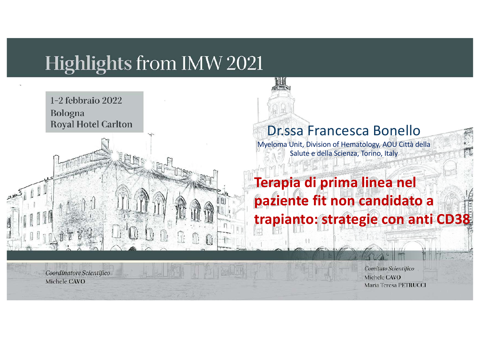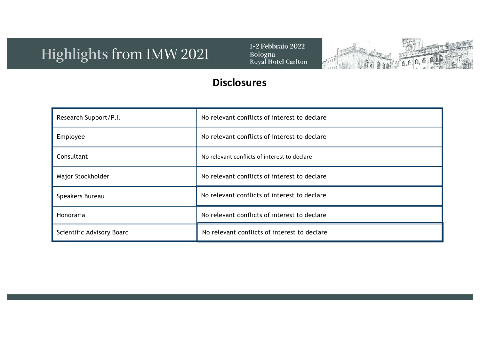1-2 Febbraio 2022 Bologna<br>Royal Hotel Carlton



#### **Disclosures**

| Research Support/P.I.     | No relevant conflicts of interest to declare |  |  |
|---------------------------|----------------------------------------------|--|--|
| Employee                  | No relevant conflicts of interest to declare |  |  |
| Consultant                | No relevant conflicts of interest to declare |  |  |
| Major Stockholder         | No relevant conflicts of interest to declare |  |  |
| Speakers Bureau           | No relevant conflicts of interest to declare |  |  |
| Honoraria                 | No relevant conflicts of interest to declare |  |  |
| Scientific Advisory Board | No relevant conflicts of interest to declare |  |  |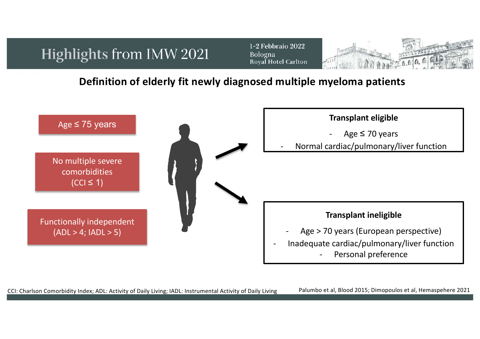1-2 Febbraio 2022 **Bologna** Royal Hotel Carlton



### **Definition of elderly fit newly diagnosed multiple myeloma patients**



CCI: Charlson Comorbidity Index; ADL: Activity of Daily Living; IADL: Instrumental Activity of Daily Living Palumbo et al, Blood 2015; Dimopoulos et al, Hemaspehere 2021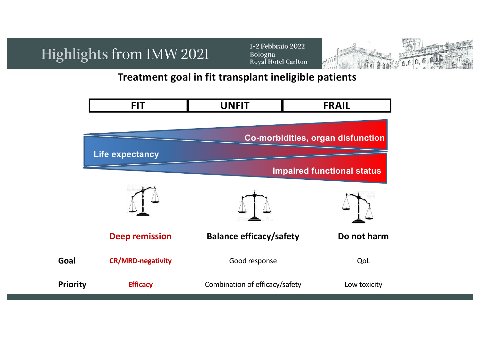1-2 Febbraio 2022 **Bologna** Royal Hotel Carlton



#### **Treatment goal in fit transplant ineligible patients**

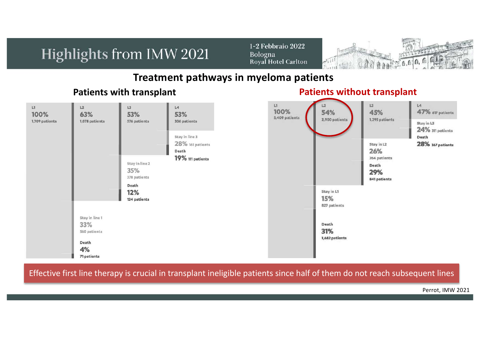1-2 Febbraio 2022 **Bologna** Royal Hotel Carlton



#### **Treatment pathways in myeloma patients**

#### $L1$  $L4$  $L<sup>2</sup>$  $L1$  $L2$ L3  $L4$ 100% 45% 47% 617 patients 54% 100% 63% 53% 53% 5,409 patients 2.900 patients 1,295 patients 1,078 patients 576 patients 1,709 patients 306 patients Stay in L3  $24\%$  311 patients Stay in line 3 Death 28% 161 patients  $28\%$  367 patients Stay in L2  $26%$ Death 19% 111 patients 764 patients Stay in line 2 Death  $35%$ 29% 378 patients 841 patients Death  $12%$ Stay in L1 15% 124 patients 827 patients Stay in line 1 33% Death 31% 560 patients 1,682 patients Death 4% 71 patients

**Patients with transplant Patients without transplant**

Effective first line therapy is crucial in transplant ineligible patients since half of them do not reach subsequent lines

Perrot, IMW 2021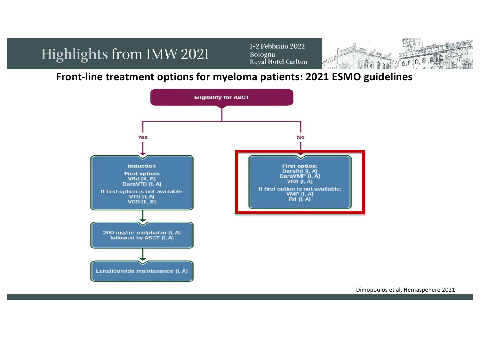1-2 Febbraio 2022 **Bologna** Royal Hotel Carlton



**Front-line treatment options for myeloma patients: 2021 ESMO guidelines**



Dimopoulos et al, Hemaspehere 2021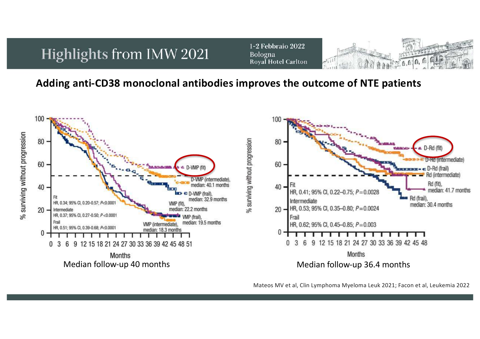1-2 Febbraio 2022 **Bologna** Royal Hotel Carlton



#### **Adding anti-CD38 monoclonal antibodies improves the outcome of NTE patients**



Mateos MV et al, Clin Lymphoma Myeloma Leuk 2021; Facon et al, Leukemia 2022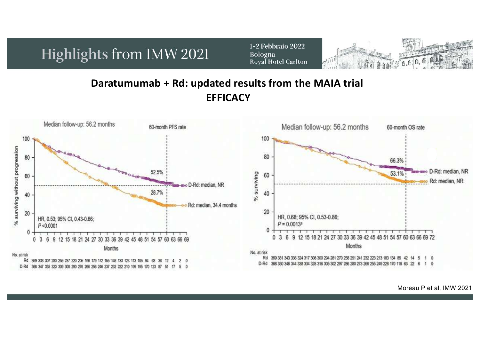1-2 Febbraio 2022 **Bologna** Royal Hotel Carlton

# $6.6$

### **Daratumumab + Rd: updated results from the MAIA trial EFFICACY**



Moreau P et al, IMW 2021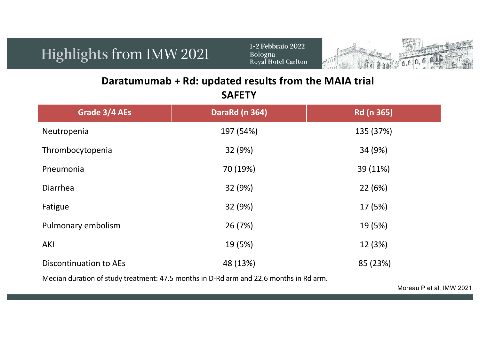1-2 Febbraio 2022 Bologna<br>Royal Hotel Carlton



**Daratumumab + Rd: updated results from the MAIA trial SAFETY**

| Grade 3/4 AEs          | DaraRd (n 364) | <b>Rd (n 365)</b> |
|------------------------|----------------|-------------------|
| Neutropenia            | 197 (54%)      | 135 (37%)         |
| Thrombocytopenia       | 32 (9%)        | 34 (9%)           |
| Pneumonia              | 70 (19%)       | 39 (11%)          |
| <b>Diarrhea</b>        | 32 (9%)        | 22 (6%)           |
| Fatigue                | 32 (9%)        | 17 (5%)           |
| Pulmonary embolism     | 26 (7%)        | 19 (5%)           |
| AKI                    | 19 (5%)        | 12 (3%)           |
| Discontinuation to AEs | 48 (13%)       | 85 (23%)          |

Median duration of study treatment: 47.5 months in D-Rd arm and 22.6 months in Rd arm.

Moreau P et al, IMW 2021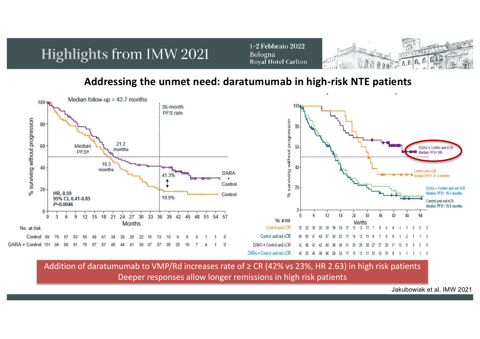1-2 Febbraio 2022 **Bologna** Royal Hotel Carlton



#### **Addressing the unmet need: daratumumab in high-risk NTE patients**



Addition of daratumumab to VMP/Rd increases rate of ≥ CR (42% vs 23%, HR 2.63) in high risk patients Deeper responses allow longer remissions in high risk patients

Jakubowiak et al, IMW 2021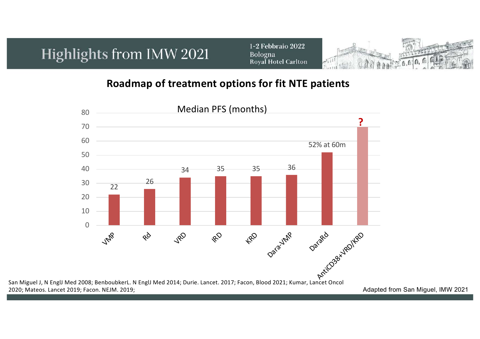1-2 Febbraio 2022 **Bologna** Royal Hotel Carlton





Adapted from San Miguel, IMW 2021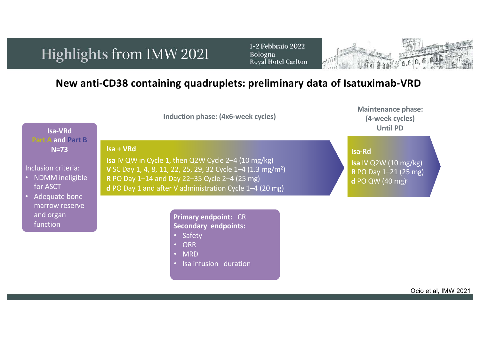1-2 Febbraio 2022 Bologna Royal Hotel Carlton

# LOU TUDA ADAPTE G.G. G.

#### **New anti-CD38 containing quadruplets: preliminary data of Isatuximab-VRD**

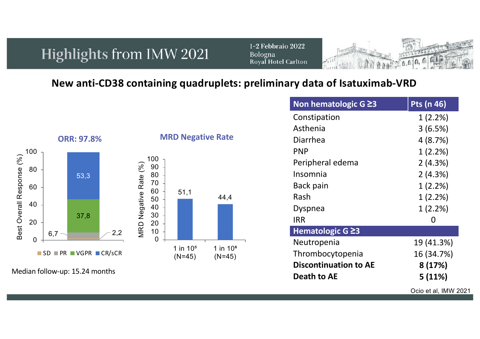1-2 Febbraio 2022 **Bologna** Royal Hotel Carlton



#### **New anti-CD38 containing quadruplets: preliminary data of Isatuximab-VRD**



Median follow-up: 15.24 months

| Non hematologic G ≥3         | <b>Pts</b> (n 46) |  |
|------------------------------|-------------------|--|
| Constipation                 | 1(2.2%)           |  |
| Asthenia                     | 3(6.5%)           |  |
| Diarrhea                     | 4(8.7%)           |  |
| <b>PNP</b>                   | 1(2.2%)           |  |
| Peripheral edema             | 2(4.3%)           |  |
| Insomnia                     | 2(4.3%)           |  |
| Back pain                    | 1(2.2%)           |  |
| Rash                         | 1(2.2%)           |  |
| Dyspnea                      | 1(2.2%)           |  |
| <b>IRR</b>                   |                   |  |
| Hematologic G ≥3             |                   |  |
| Neutropenia                  | 19 (41.3%)        |  |
| Thrombocytopenia             | 16 (34.7%)        |  |
| <b>Discontinuation to AE</b> | 8(17%)            |  |
| Death to AE                  | 5(11%)            |  |

Ocio et al, IMW 2021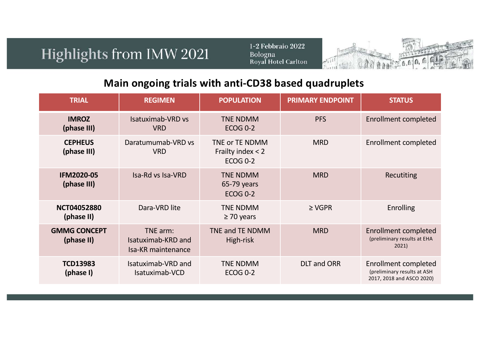1-2 Febbraio 2022 Bologna<br>Royal Hotel Carlton



### **Main ongoing trials with anti-CD38 based quadruplets**

| <b>TRIAL</b>                      | <b>REGIMEN</b>                                       | <b>POPULATION</b>                                        | <b>PRIMARY ENDPOINT</b> | <b>STATUS</b>                                                                           |
|-----------------------------------|------------------------------------------------------|----------------------------------------------------------|-------------------------|-----------------------------------------------------------------------------------------|
| <b>IMROZ</b><br>(phase III)       | Isatuximab-VRD vs<br><b>VRD</b>                      | <b>TNE NDMM</b><br><b>ECOG 0-2</b>                       | <b>PFS</b>              | <b>Enrollment completed</b>                                                             |
| <b>CEPHEUS</b><br>(phase III)     | Daratumumab-VRD vs<br><b>VRD</b>                     | TNE or TE NDMM<br>Frailty index $<$ 2<br><b>ECOG 0-2</b> | <b>MRD</b>              | Enrollment completed                                                                    |
| <b>IFM2020-05</b><br>(phase III)  | Isa-Rd vs Isa-VRD                                    | <b>TNE NDMM</b><br>65-79 years<br><b>ECOG 0-2</b>        | <b>MRD</b>              | Recutiting                                                                              |
| <b>NCT04052880</b><br>(phase II)  | Dara-VRD lite                                        | <b>TNE NDMM</b><br>$\geq$ 70 years                       | $\geq$ VGPR             | <b>Enrolling</b>                                                                        |
| <b>GMMG CONCEPT</b><br>(phase II) | TNE arm:<br>Isatuximab-KRD and<br>Isa-KR maintenance | TNE and TE NDMM<br>High-risk                             | <b>MRD</b>              | <b>Enrollment completed</b><br>(preliminary results at EHA<br>2021)                     |
| <b>TCD13983</b><br>(phase I)      | Isatuximab-VRD and<br>Isatuximab-VCD                 | <b>TNE NDMM</b><br><b>ECOG 0-2</b>                       | <b>DLT and ORR</b>      | <b>Enrollment completed</b><br>(preliminary results at ASH<br>2017, 2018 and ASCO 2020) |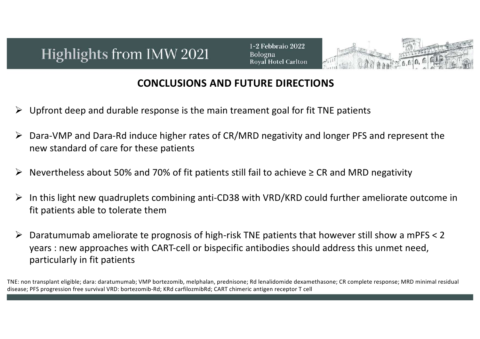1-2 Febbraio 2022 Bologna Roval Hotel Carlton



#### **CONCLUSIONS AND FUTURE DIRECTIONS**

- Ø Upfront deep and durable response is the main treament goal for fit TNE patients
- Dara-VMP and Dara-Rd induce higher rates of CR/MRD negativity and longer PFS and represent the new standard of care for these patients
- $\triangleright$  Nevertheless about 50% and 70% of fit patients still fail to achieve ≥ CR and MRD negativity
- $\triangleright$  In this light new quadruplets combining anti-CD38 with VRD/KRD could further ameliorate outcome in fit patients able to tolerate them
- Ø Daratumumab ameliorate te prognosis of high-risk TNE patients that however still show a mPFS < 2 years : new approaches with CART-cell or bispecific antibodies should address this unmet need, particularly in fit patients

TNE: non transplant eligible; dara: daratumumab; VMP bortezomib, melphalan, prednisone; Rd lenalidomide dexamethasone; CR complete response; MRD minimal residual disease; PFS progression free survival VRD: bortezomib-Rd; KRd carfilozmibRd; CART chimeric antigen receptor T cell